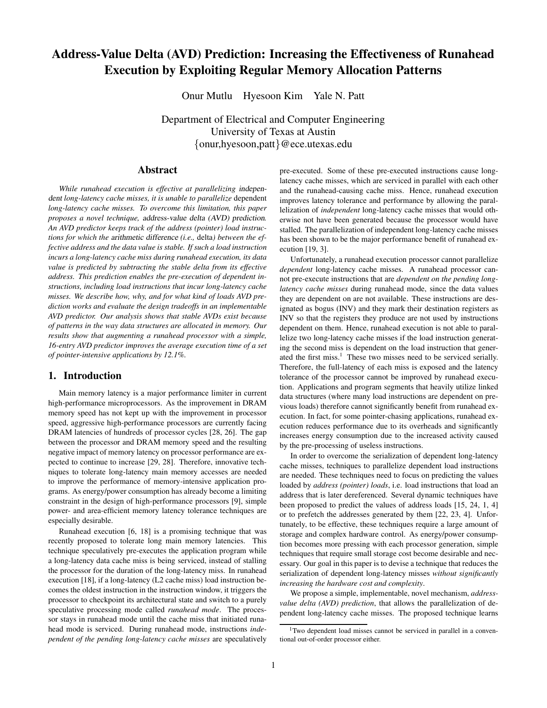# **Address-Value Delta (AVD) Prediction: Increasing the Effectiveness of Runahead Execution by Exploiting Regular Memory Allocation Patterns**

Onur Mutlu Hyesoon Kim Yale N. Patt

Department of Electrical and Computer Engineering University of Texas at Austin {onur,hyesoon,patt}@ece.utexas.edu

### **Abstract**

*While runahead execution is effective at parallelizing* independent *long-latency cache misses, it is unable to parallelize* dependent *long-latency cache misses. To overcome this limitation, this paper proposes a novel technique,* address-value delta (AVD) prediction*. An AVD predictor keeps track of the address (pointer) load instructions for which the* arithmetic difference *(i.e.,* delta*) between the effective address and the data value is stable. If such a load instruction incurs a long-latency cache miss during runahead execution, its data value is predicted by subtracting the stable delta from its effective address. This prediction enables the pre-execution of dependent instructions, including load instructions that incur long-latency cache misses. We describe how, why, and for what kind of loads AVD prediction works and evaluate the design tradeoffs in an implementable AVD predictor. Our analysis shows that stable AVDs exist because of patterns in the way data structures are allocated in memory. Our results show that augmenting a runahead processor with a simple, 16-entry AVD predictor improves the average execution time of a set of pointer-intensive applications by 12.1%.*

### **1. Introduction**

Main memory latency is a major performance limiter in current high-performance microprocessors. As the improvement in DRAM memory speed has not kept up with the improvement in processor speed, aggressive high-performance processors are currently facing DRAM latencies of hundreds of processor cycles [28, 26]. The gap between the processor and DRAM memory speed and the resulting negative impact of memory latency on processor performance are expected to continue to increase [29, 28]. Therefore, innovative techniques to tolerate long-latency main memory accesses are needed to improve the performance of memory-intensive application programs. As energy/power consumption has already become a limiting constraint in the design of high-performance processors [9], simple power- and area-efficient memory latency tolerance techniques are especially desirable.

Runahead execution [6, 18] is a promising technique that was recently proposed to tolerate long main memory latencies. This technique speculatively pre-executes the application program while a long-latency data cache miss is being serviced, instead of stalling the processor for the duration of the long-latency miss. In runahead execution [18], if a long-latency (L2 cache miss) load instruction becomes the oldest instruction in the instruction window, it triggers the processor to checkpoint its architectural state and switch to a purely speculative processing mode called *runahead mode*. The processor stays in runahead mode until the cache miss that initiated runahead mode is serviced. During runahead mode, instructions *independent of the pending long-latency cache misses* are speculatively pre-executed. Some of these pre-executed instructions cause longlatency cache misses, which are serviced in parallel with each other and the runahead-causing cache miss. Hence, runahead execution improves latency tolerance and performance by allowing the parallelization of *independent* long-latency cache misses that would otherwise not have been generated because the processor would have stalled. The parallelization of independent long-latency cache misses has been shown to be the major performance benefit of runahead execution [19, 3].

Unfortunately, a runahead execution processor cannot parallelize *dependent* long-latency cache misses. A runahead processor cannot pre-execute instructions that are *dependent on the pending longlatency cache misses* during runahead mode, since the data values they are dependent on are not available. These instructions are designated as bogus (INV) and they mark their destination registers as INV so that the registers they produce are not used by instructions dependent on them. Hence, runahead execution is not able to parallelize two long-latency cache misses if the load instruction generating the second miss is dependent on the load instruction that generated the first miss.<sup>1</sup> These two misses need to be serviced serially. Therefore, the full-latency of each miss is exposed and the latency tolerance of the processor cannot be improved by runahead execution. Applications and program segments that heavily utilize linked data structures (where many load instructions are dependent on previous loads) therefore cannot significantly benefit from runahead execution. In fact, for some pointer-chasing applications, runahead execution reduces performance due to its overheads and significantly increases energy consumption due to the increased activity caused by the pre-processing of useless instructions.

In order to overcome the serialization of dependent long-latency cache misses, techniques to parallelize dependent load instructions are needed. These techniques need to focus on predicting the values loaded by *address (pointer) loads*, i.e. load instructions that load an address that is later dereferenced. Several dynamic techniques have been proposed to predict the values of address loads [15, 24, 1, 4] or to prefetch the addresses generated by them [22, 23, 4]. Unfortunately, to be effective, these techniques require a large amount of storage and complex hardware control. As energy/power consumption becomes more pressing with each processor generation, simple techniques that require small storage cost become desirable and necessary. Our goal in this paper is to devise a technique that reduces the serialization of dependent long-latency misses *without significantly increasing the hardware cost and complexity*.

We propose a simple, implementable, novel mechanism, *addressvalue delta (AVD) prediction*, that allows the parallelization of dependent long-latency cache misses. The proposed technique learns

<sup>&</sup>lt;sup>1</sup>Two dependent load misses cannot be serviced in parallel in a conventional out-of-order processor either.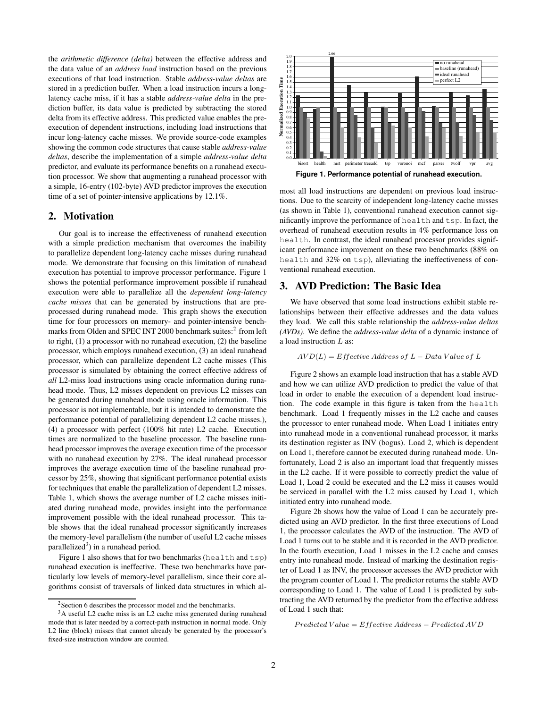the *arithmetic difference (delta)* between the effective address and the data value of an *address load* instruction based on the previous executions of that load instruction. Stable *address-value deltas* are stored in a prediction buffer. When a load instruction incurs a longlatency cache miss, if it has a stable *address-value delta* in the prediction buffer, its data value is predicted by subtracting the stored delta from its effective address. This predicted value enables the preexecution of dependent instructions, including load instructions that incur long-latency cache misses. We provide source-code examples showing the common code structures that cause stable *address-value deltas*, describe the implementation of a simple *address-value delta* predictor, and evaluate its performance benefits on a runahead execution processor. We show that augmenting a runahead processor with a simple, 16-entry (102-byte) AVD predictor improves the execution time of a set of pointer-intensive applications by 12.1%.

### **2. Motivation**

Our goal is to increase the effectiveness of runahead execution with a simple prediction mechanism that overcomes the inability to parallelize dependent long-latency cache misses during runahead mode. We demonstrate that focusing on this limitation of runahead execution has potential to improve processor performance. Figure 1 shows the potential performance improvement possible if runahead execution were able to parallelize all the *dependent long-latency cache misses* that can be generated by instructions that are preprocessed during runahead mode. This graph shows the execution time for four processors on memory- and pointer-intensive benchmarks from Olden and SPEC INT 2000 benchmark suites:<sup>2</sup> from left to right, (1) a processor with no runahead execution, (2) the baseline processor, which employs runahead execution, (3) an ideal runahead processor, which can parallelize dependent L2 cache misses (This processor is simulated by obtaining the correct effective address of *all* L2-miss load instructions using oracle information during runahead mode. Thus, L2 misses dependent on previous L2 misses can be generated during runahead mode using oracle information. This processor is not implementable, but it is intended to demonstrate the performance potential of parallelizing dependent L2 cache misses.), (4) a processor with perfect (100% hit rate) L2 cache. Execution times are normalized to the baseline processor. The baseline runahead processor improves the average execution time of the processor with no runahead execution by 27%. The ideal runahead processor improves the average execution time of the baseline runahead processor by 25%, showing that significant performance potential exists for techniques that enable the parallelization of dependent L2 misses. Table 1, which shows the average number of L2 cache misses initiated during runahead mode, provides insight into the performance improvement possible with the ideal runahead processor. This table shows that the ideal runahead processor significantly increases the memory-level parallelism (the number of useful L2 cache misses parallelized<sup>3</sup>) in a runahead period.

Figure 1 also shows that for two benchmarks (health and tsp) runahead execution is ineffective. These two benchmarks have particularly low levels of memory-level parallelism, since their core algorithms consist of traversals of linked data structures in which al-



most all load instructions are dependent on previous load instructions. Due to the scarcity of independent long-latency cache misses (as shown in Table 1), conventional runahead execution cannot significantly improve the performance of health and tsp. In fact, the overhead of runahead execution results in 4% performance loss on health. In contrast, the ideal runahead processor provides significant performance improvement on these two benchmarks (88% on health and 32% on tsp), alleviating the ineffectiveness of conventional runahead execution.

### **3. AVD Prediction: The Basic Idea**

We have observed that some load instructions exhibit stable relationships between their effective addresses and the data values they load. We call this stable relationship the *address-value deltas (AVDs)*. We define the *address-value delta* of a dynamic instance of a load instruction L as:

$$
AVD(L) = Effective\ Address\ of\ L-Data\ Value\ of\ L
$$

Figure 2 shows an example load instruction that has a stable AVD and how we can utilize AVD prediction to predict the value of that load in order to enable the execution of a dependent load instruction. The code example in this figure is taken from the health benchmark. Load 1 frequently misses in the L2 cache and causes the processor to enter runahead mode. When Load 1 initiates entry into runahead mode in a conventional runahead processor, it marks its destination register as INV (bogus). Load 2, which is dependent on Load 1, therefore cannot be executed during runahead mode. Unfortunately, Load 2 is also an important load that frequently misses in the L2 cache. If it were possible to correctly predict the value of Load 1, Load 2 could be executed and the L2 miss it causes would be serviced in parallel with the L2 miss caused by Load 1, which initiated entry into runahead mode.

Figure 2b shows how the value of Load 1 can be accurately predicted using an AVD predictor. In the first three executions of Load 1, the processor calculates the AVD of the instruction. The AVD of Load 1 turns out to be stable and it is recorded in the AVD predictor. In the fourth execution, Load 1 misses in the L2 cache and causes entry into runahead mode. Instead of marking the destination register of Load 1 as INV, the processor accesses the AVD predictor with the program counter of Load 1. The predictor returns the stable AVD corresponding to Load 1. The value of Load 1 is predicted by subtracting the AVD returned by the predictor from the effective address of Load 1 such that:

Predicted V alue = Effective Address − Predicted AV D

<sup>&</sup>lt;sup>2</sup> Section 6 describes the processor model and the benchmarks.

<sup>3</sup>A useful L2 cache miss is an L2 cache miss generated during runahead mode that is later needed by a correct-path instruction in normal mode. Only L2 line (block) misses that cannot already be generated by the processor's fixed-size instruction window are counted.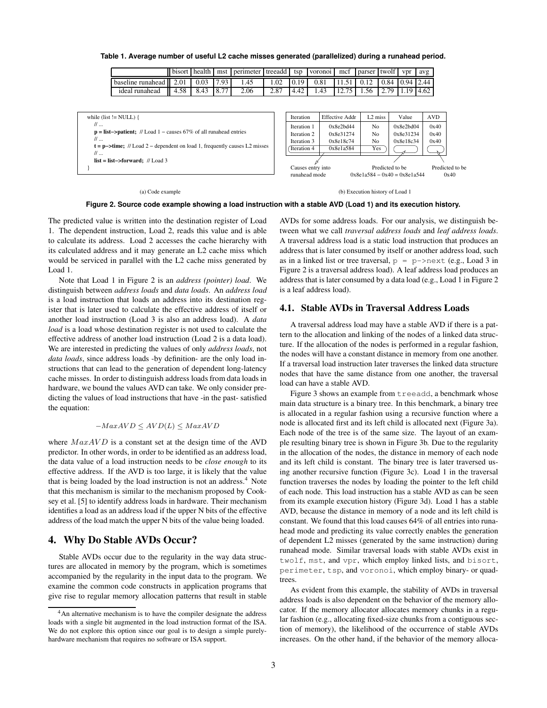**Table 1. Average number of useful L2 cache misses generated (parallelized) during a runahead period.**

|                                                                                                                  |  | bisort   health   mst   perimeter   treeadd   tsp   voronoi   mcf   parser   twolf   vpr   avg |      |                                                                                   |  |  |  |
|------------------------------------------------------------------------------------------------------------------|--|------------------------------------------------------------------------------------------------|------|-----------------------------------------------------------------------------------|--|--|--|
| baseline runahead $\parallel$ 2.01   0.03   7.93   1.45   1.02   0.19   0.81   11.51   0.12   0.84   0.94   2.44 |  |                                                                                                |      |                                                                                   |  |  |  |
| ideal runahead $\begin{array}{ c c c c c c } \hline 4.58 & 8.43 & 8.77 \\\hline \end{array}$                     |  | 2.06                                                                                           | 2.87 | $\vert 4.42 \vert$ 1.43 $\vert 12.75 \vert 1.56 \vert 2.79 \vert 1.19 \vert 4.62$ |  |  |  |

| while $(list != NULL)$ {                                                           | Iteration         | <b>Effective Addr</b> | $L2$ miss | Value                          | <b>AVD</b>      |
|------------------------------------------------------------------------------------|-------------------|-----------------------|-----------|--------------------------------|-----------------|
| $\mathcal{U}$                                                                      | Iteration 1       | 0x8e2hd44             | No        | 0x8e2bd04                      | 0x40            |
| $p = list \rightarrow patient$ ; // Load 1 – causes 67% of all runahead entries    | Iteration 2       | 0x8e31274             | No        | 0x8e31234                      | 0x40            |
| $\mathcal{U}$                                                                      | Iteration 3       | 0x8e18c74             | No        | 0x8e18c34                      | 0x40            |
| $t = p$ ->time; // Load 2 – dependent on load 1, frequently causes L2 misses<br>11 | Iteration 4       | 0x8e1a584             | Yes       |                                |                 |
| $list = list \rightarrow forward: \# Load 3$                                       |                   |                       |           |                                |                 |
|                                                                                    | Causes entry into |                       |           | Predicted to be                | Predicted to be |
|                                                                                    | runahead mode     |                       |           | $0x8e1a584 - 0x40 = 0x8e1a544$ | 0x40            |

(a) Code example (b) Execution history of Load 1

Figure 2. Source code example showing a load instruction with a stable AVD (Load 1) and its execution history.

The predicted value is written into the destination register of Load 1. The dependent instruction, Load 2, reads this value and is able to calculate its address. Load 2 accesses the cache hierarchy with its calculated address and it may generate an L2 cache miss which would be serviced in parallel with the L2 cache miss generated by Load 1.

Note that Load 1 in Figure 2 is an *address (pointer) load*. We distinguish between *address loads* and *data loads*. An *address load* is a load instruction that loads an address into its destination register that is later used to calculate the effective address of itself or another load instruction (Load 3 is also an address load). A *data load* is a load whose destination register is not used to calculate the effective address of another load instruction (Load 2 is a data load). We are interested in predicting the values of only *address loads*, not *data loads*, since address loads -by definition- are the only load instructions that can lead to the generation of dependent long-latency cache misses. In order to distinguish address loads from data loads in hardware, we bound the values AVD can take. We only consider predicting the values of load instructions that have -in the past- satisfied the equation:

$$
-MaxAVD \le AVD(L) \le MaxAVD
$$

where  $MaxAVD$  is a constant set at the design time of the AVD predictor. In other words, in order to be identified as an address load, the data value of a load instruction needs to be *close enough* to its effective address. If the AVD is too large, it is likely that the value that is being loaded by the load instruction is not an address.<sup>4</sup> Note that this mechanism is similar to the mechanism proposed by Cooksey et al. [5] to identify address loads in hardware. Their mechanism identifies a load as an address load if the upper N bits of the effective address of the load match the upper N bits of the value being loaded.

### **4. Why Do Stable AVDs Occur?**

Stable AVDs occur due to the regularity in the way data structures are allocated in memory by the program, which is sometimes accompanied by the regularity in the input data to the program. We examine the common code constructs in application programs that give rise to regular memory allocation patterns that result in stable AVDs for some address loads. For our analysis, we distinguish between what we call *traversal address loads* and *leaf address loads*. A traversal address load is a static load instruction that produces an address that is later consumed by itself or another address load, such as in a linked list or tree traversal,  $p = p$ ->next (e.g., Load 3 in Figure 2 is a traversal address load). A leaf address load produces an address that is later consumed by a data load (e.g., Load 1 in Figure 2 is a leaf address load).

### **4.1. Stable AVDs in Traversal Address Loads**

A traversal address load may have a stable AVD if there is a pattern to the allocation and linking of the nodes of a linked data structure. If the allocation of the nodes is performed in a regular fashion, the nodes will have a constant distance in memory from one another. If a traversal load instruction later traverses the linked data structure nodes that have the same distance from one another, the traversal load can have a stable AVD.

Figure 3 shows an example from treeadd, a benchmark whose main data structure is a binary tree. In this benchmark, a binary tree is allocated in a regular fashion using a recursive function where a node is allocated first and its left child is allocated next (Figure 3a). Each node of the tree is of the same size. The layout of an example resulting binary tree is shown in Figure 3b. Due to the regularity in the allocation of the nodes, the distance in memory of each node and its left child is constant. The binary tree is later traversed using another recursive function (Figure 3c). Load 1 in the traversal function traverses the nodes by loading the pointer to the left child of each node. This load instruction has a stable AVD as can be seen from its example execution history (Figure 3d). Load 1 has a stable AVD, because the distance in memory of a node and its left child is constant. We found that this load causes 64% of all entries into runahead mode and predicting its value correctly enables the generation of dependent L2 misses (generated by the same instruction) during runahead mode. Similar traversal loads with stable AVDs exist in twolf, mst, and vpr, which employ linked lists, and bisort, perimeter, tsp, and voronoi, which employ binary- or quadtrees.

As evident from this example, the stability of AVDs in traversal address loads is also dependent on the behavior of the memory allocator. If the memory allocator allocates memory chunks in a regular fashion (e.g., allocating fixed-size chunks from a contiguous section of memory), the likelihood of the occurrence of stable AVDs increases. On the other hand, if the behavior of the memory alloca-

<sup>&</sup>lt;sup>4</sup>An alternative mechanism is to have the compiler designate the address loads with a single bit augmented in the load instruction format of the ISA. We do not explore this option since our goal is to design a simple purelyhardware mechanism that requires no software or ISA support.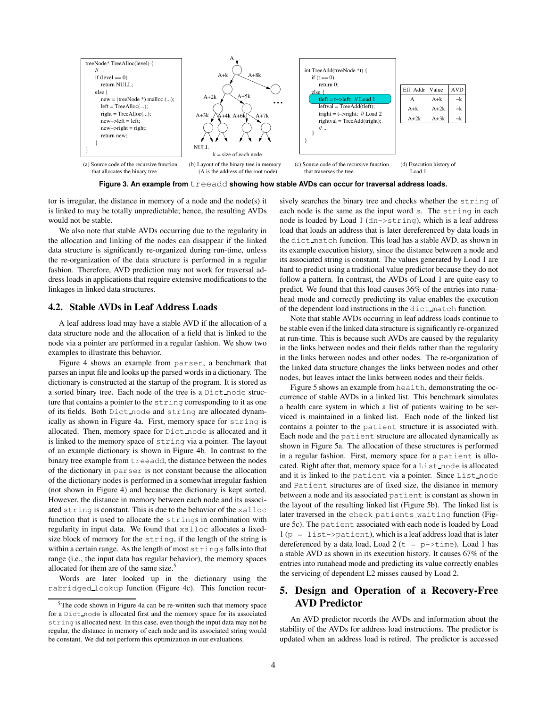

**Figure 3. An example from** treeadd **showing how stable AVDs can occur for traversal address loads.**

tor is irregular, the distance in memory of a node and the node(s) it is linked to may be totally unpredictable; hence, the resulting AVDs would not be stable.

We also note that stable AVDs occurring due to the regularity in the allocation and linking of the nodes can disappear if the linked data structure is significantly re-organized during run-time, unless the re-organization of the data structure is performed in a regular fashion. Therefore, AVD prediction may not work for traversal address loads in applications that require extensive modifications to the linkages in linked data structures.

### **4.2. Stable AVDs in Leaf Address Loads**

A leaf address load may have a stable AVD if the allocation of a data structure node and the allocation of a field that is linked to the node via a pointer are performed in a regular fashion. We show two examples to illustrate this behavior.

Figure 4 shows an example from parser, a benchmark that parses an input file and looks up the parsed words in a dictionary. The dictionary is constructed at the startup of the program. It is stored as a sorted binary tree. Each node of the tree is a Dict node structure that contains a pointer to the string corresponding to it as one of its fields. Both Dict node and string are allocated dynamically as shown in Figure 4a. First, memory space for string is allocated. Then, memory space for Dict node is allocated and it is linked to the memory space of string via a pointer. The layout of an example dictionary is shown in Figure 4b. In contrast to the binary tree example from treeadd, the distance between the nodes of the dictionary in parser is not constant because the allocation of the dictionary nodes is performed in a somewhat irregular fashion (not shown in Figure 4) and because the dictionary is kept sorted. However, the distance in memory between each node and its associated string is constant. This is due to the behavior of the xalloc function that is used to allocate the strings in combination with regularity in input data. We found that xalloc allocates a fixedsize block of memory for the string, if the length of the string is within a certain range. As the length of most strings falls into that range (i.e., the input data has regular behavior), the memory spaces allocated for them are of the same size. 5

Words are later looked up in the dictionary using the rabridged lookup function (Figure 4c). This function recursively searches the binary tree and checks whether the string of each node is the same as the input word s. The string in each node is loaded by Load 1 (dn->string), which is a leaf address load that loads an address that is later dereferenced by data loads in the dict match function. This load has a stable AVD, as shown in its example execution history, since the distance between a node and its associated string is constant. The values generated by Load 1 are hard to predict using a traditional value predictor because they do not follow a pattern. In contrast, the AVDs of Load 1 are quite easy to predict. We found that this load causes 36% of the entries into runahead mode and correctly predicting its value enables the execution of the dependent load instructions in the dict match function.

Note that stable AVDs occurring in leaf address loads continue to be stable even if the linked data structure is significantly re-organized at run-time. This is because such AVDs are caused by the regularity in the links between nodes and their fields rather than the regularity in the links between nodes and other nodes. The re-organization of the linked data structure changes the links between nodes and other nodes, but leaves intact the links between nodes and their fields.

Figure 5 shows an example from health, demonstrating the occurrence of stable AVDs in a linked list. This benchmark simulates a health care system in which a list of patients waiting to be serviced is maintained in a linked list. Each node of the linked list contains a pointer to the patient structure it is associated with. Each node and the patient structure are allocated dynamically as shown in Figure 5a. The allocation of these structures is performed in a regular fashion. First, memory space for a patient is allocated. Right after that, memory space for a List node is allocated and it is linked to the patient via a pointer. Since List node and Patient structures are of fixed size, the distance in memory between a node and its associated patient is constant as shown in the layout of the resulting linked list (Figure 5b). The linked list is later traversed in the check patients waiting function (Figure 5c). The patient associated with each node is loaded by Load  $1(p = list-> pattern)$ , which is a leaf address load that is later dereferenced by a data load, Load 2 ( $t = p$ -> $t$ ime). Load 1 has a stable AVD as shown in its execution history. It causes 67% of the entries into runahead mode and predicting its value correctly enables the servicing of dependent L2 misses caused by Load 2.

## **5. Design and Operation of a Recovery-Free AVD Predictor**

An AVD predictor records the AVDs and information about the stability of the AVDs for address load instructions. The predictor is updated when an address load is retired. The predictor is accessed

<sup>5</sup>The code shown in Figure 4a can be re-written such that memory space for a Dict node is allocated first and the memory space for its associated string is allocated next. In this case, even though the input data may not be regular, the distance in memory of each node and its associated string would be constant. We did not perform this optimization in our evaluations.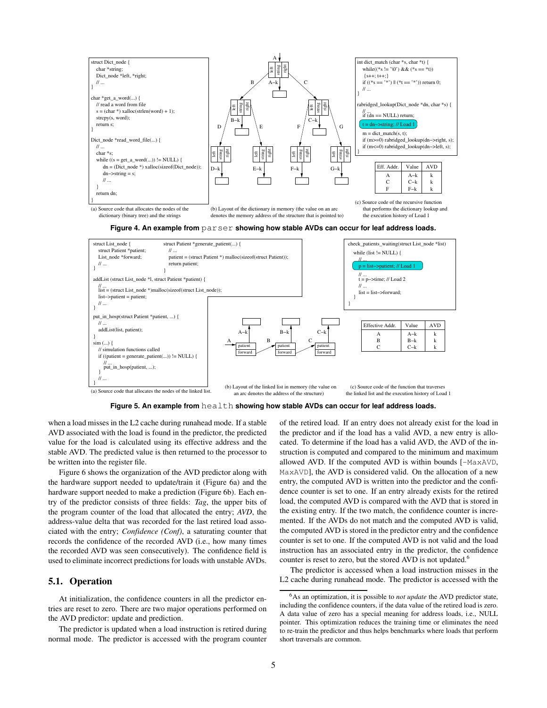





**Figure 5. An example from** health **showing how stable AVDs can occur for leaf address loads.**

when a load misses in the L2 cache during runahead mode. If a stable AVD associated with the load is found in the predictor, the predicted value for the load is calculated using its effective address and the stable AVD. The predicted value is then returned to the processor to be written into the register file.

Figure 6 shows the organization of the AVD predictor along with the hardware support needed to update/train it (Figure 6a) and the hardware support needed to make a prediction (Figure 6b). Each entry of the predictor consists of three fields: *Tag*, the upper bits of the program counter of the load that allocated the entry; *AVD*, the address-value delta that was recorded for the last retired load associated with the entry; *Confidence (Conf)*, a saturating counter that records the confidence of the recorded AVD (i.e., how many times the recorded AVD was seen consecutively). The confidence field is used to eliminate incorrect predictions for loads with unstable AVDs.

#### **5.1. Operation**

At initialization, the confidence counters in all the predictor entries are reset to zero. There are two major operations performed on the AVD predictor: update and prediction.

The predictor is updated when a load instruction is retired during normal mode. The predictor is accessed with the program counter of the retired load. If an entry does not already exist for the load in the predictor and if the load has a valid AVD, a new entry is allocated. To determine if the load has a valid AVD, the AVD of the instruction is computed and compared to the minimum and maximum allowed AVD. If the computed AVD is within bounds [-MaxAVD, MaxAVD], the AVD is considered valid. On the allocation of a new entry, the computed AVD is written into the predictor and the confidence counter is set to one. If an entry already exists for the retired load, the computed AVD is compared with the AVD that is stored in the existing entry. If the two match, the confidence counter is incremented. If the AVDs do not match and the computed AVD is valid, the computed AVD is stored in the predictor entry and the confidence counter is set to one. If the computed AVD is not valid and the load instruction has an associated entry in the predictor, the confidence counter is reset to zero, but the stored AVD is not updated.<sup>6</sup>

The predictor is accessed when a load instruction misses in the L2 cache during runahead mode. The predictor is accessed with the

<sup>6</sup>As an optimization, it is possible to *not update* the AVD predictor state, including the confidence counters, if the data value of the retired load is zero. A data value of zero has a special meaning for address loads, i.e., NULL pointer. This optimization reduces the training time or eliminates the need to re-train the predictor and thus helps benchmarks where loads that perform short traversals are common.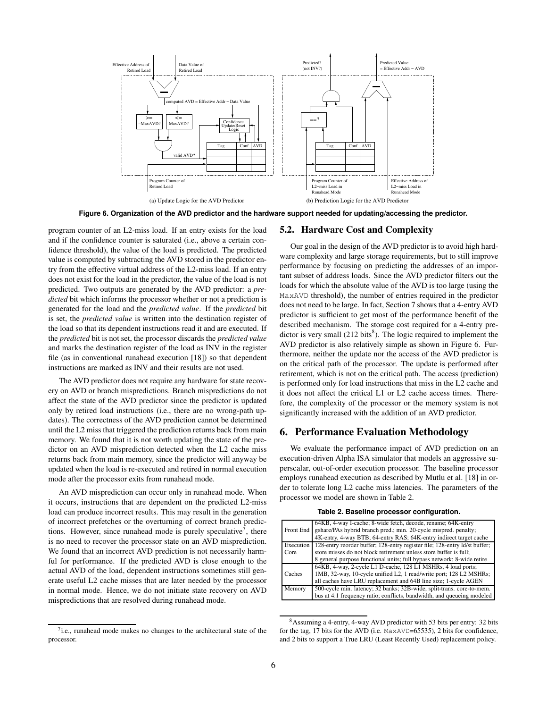

Figure 6. Organization of the AVD predictor and the hardware support needed for updating/accessing the predictor.

program counter of an L2-miss load. If an entry exists for the load and if the confidence counter is saturated (i.e., above a certain confidence threshold), the value of the load is predicted. The predicted value is computed by subtracting the AVD stored in the predictor entry from the effective virtual address of the L2-miss load. If an entry does not exist for the load in the predictor, the value of the load is not predicted. Two outputs are generated by the AVD predictor: a *predicted* bit which informs the processor whether or not a prediction is generated for the load and the *predicted value*. If the *predicted* bit is set, the *predicted value* is written into the destination register of the load so that its dependent instructions read it and are executed. If the *predicted* bit is not set, the processor discards the *predicted value* and marks the destination register of the load as INV in the register file (as in conventional runahead execution [18]) so that dependent instructions are marked as INV and their results are not used.

The AVD predictor does not require any hardware for state recovery on AVD or branch mispredictions. Branch mispredictions do not affect the state of the AVD predictor since the predictor is updated only by retired load instructions (i.e., there are no wrong-path updates). The correctness of the AVD prediction cannot be determined until the L2 miss that triggered the prediction returns back from main memory. We found that it is not worth updating the state of the predictor on an AVD misprediction detected when the L2 cache miss returns back from main memory, since the predictor will anyway be updated when the load is re-executed and retired in normal execution mode after the processor exits from runahead mode.

An AVD misprediction can occur only in runahead mode. When it occurs, instructions that are dependent on the predicted L2-miss load can produce incorrect results. This may result in the generation of incorrect prefetches or the overturning of correct branch predictions. However, since runahead mode is purely speculative<sup>7</sup>, there is no need to recover the processor state on an AVD misprediction. We found that an incorrect AVD prediction is not necessarily harmful for performance. If the predicted AVD is close enough to the actual AVD of the load, dependent instructions sometimes still generate useful L2 cache misses that are later needed by the processor in normal mode. Hence, we do not initiate state recovery on AVD mispredictions that are resolved during runahead mode.

#### **5.2. Hardware Cost and Complexity**

Our goal in the design of the AVD predictor is to avoid high hardware complexity and large storage requirements, but to still improve performance by focusing on predicting the addresses of an important subset of address loads. Since the AVD predictor filters out the loads for which the absolute value of the AVD is too large (using the MaxAVD threshold), the number of entries required in the predictor does not need to be large. In fact, Section 7 shows that a 4-entry AVD predictor is sufficient to get most of the performance benefit of the described mechanism. The storage cost required for a 4-entry predictor is very small  $(212 \text{ bits}^8)$ . The logic required to implement the AVD predictor is also relatively simple as shown in Figure 6. Furthermore, neither the update nor the access of the AVD predictor is on the critical path of the processor. The update is performed after retirement, which is not on the critical path. The access (prediction) is performed only for load instructions that miss in the L2 cache and it does not affect the critical L1 or L2 cache access times. Therefore, the complexity of the processor or the memory system is not significantly increased with the addition of an AVD predictor.

### **6. Performance Evaluation Methodology**

We evaluate the performance impact of AVD prediction on an execution-driven Alpha ISA simulator that models an aggressive superscalar, out-of-order execution processor. The baseline processor employs runahead execution as described by Mutlu et al. [18] in order to tolerate long L2 cache miss latencies. The parameters of the processor we model are shown in Table 2.

|  |  |  | Table 2. Baseline processor configuration. |
|--|--|--|--------------------------------------------|
|--|--|--|--------------------------------------------|

|                   | 64KB, 4-way I-cache; 8-wide fetch, decode, rename; 64K-entry<br>Front End gshare/PAs hybrid branch pred.; min. 20-cycle mispred. penalty;<br>4K-entry, 4-way BTB; 64-entry RAS; 64K-entry indirect target cache           |
|-------------------|---------------------------------------------------------------------------------------------------------------------------------------------------------------------------------------------------------------------------|
| Execution<br>Core | 128-entry reorder buffer; 128-entry register file; 128-entry ld/st buffer;<br>store misses do not block retirement unless store buffer is full;<br>8 general purpose functional units; full bypass network; 8-wide retire |
| Caches            | 64KB, 4-way, 2-cycle L1 D-cache, 128 L1 MSHRs, 4 load ports;<br>1MB, 32-way, 10-cycle unified L2, 1 read/write port; 128 L2 MSHRs;<br>all caches have LRU replacement and 64B line size; 1-cycle AGEN                     |
| Memory            | 500-cycle min. latency; 32 banks; 32B-wide, split-trans. core-to-mem.<br>bus at 4:1 frequency ratio; conflicts, bandwidth, and queueing modeled                                                                           |

<sup>8</sup>Assuming a 4-entry, 4-way AVD predictor with 53 bits per entry: 32 bits for the tag, 17 bits for the AVD (i.e. MaxAVD=65535), 2 bits for confidence, and 2 bits to support a True LRU (Least Recently Used) replacement policy.

 $7$ i.e., runahead mode makes no changes to the architectural state of the processor.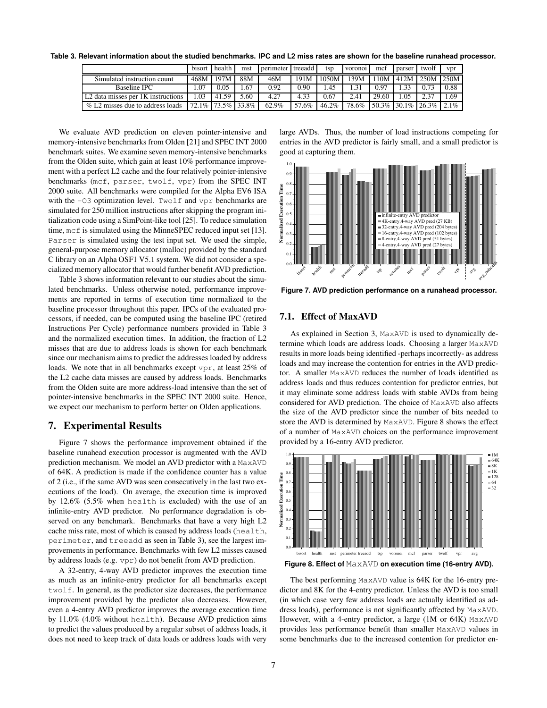Table 3. Relevant information about the studied benchmarks. IPC and L2 miss rates are shown for the baseline runahead processor.

|                                                                    | bisort | health    | mst  | perimeter treeadd |              | tsp   | voronoi | mct   | parser                  | twolf | <b>vpr</b> |
|--------------------------------------------------------------------|--------|-----------|------|-------------------|--------------|-------|---------|-------|-------------------------|-------|------------|
| Simulated instruction count                                        | 468M   | 197M      | 88M  | 46M               | 191M         | 1050M | 139M    |       | 10M 412M                | 250M  | 1250M      |
| Baseline IPC                                                       | 07     | J.05      | .67  | 0.92              | 2.90         | .45   | .31     | 0.97  | .33                     |       | 0.88       |
| L <sub>2</sub> data misses per $1K$ instructions $\parallel$       | .03    | .59<br>41 | 5.60 | 4.27              | 4.33         | 0.67  | 2.41    | 29.60 | .05                     | 2.37  | .69        |
| % L2 misses due to address loads $\parallel$ 72.1%   73.5%   33.8% |        |           |      | 62.9%             | 57<br>$.6\%$ | 46.2% | 78.6%   |       | $150.3\%$ 30.1\% 26.3\% |       | $2.1\%$    |

We evaluate AVD prediction on eleven pointer-intensive and memory-intensive benchmarks from Olden [21] and SPEC INT 2000 benchmark suites. We examine seven memory-intensive benchmarks from the Olden suite, which gain at least 10% performance improvement with a perfect L2 cache and the four relatively pointer-intensive benchmarks (mcf, parser, twolf, vpr) from the SPEC INT 2000 suite. All benchmarks were compiled for the Alpha EV6 ISA with the -03 optimization level. Twolf and vpr benchmarks are simulated for 250 million instructions after skipping the program initialization code using a SimPoint-like tool [25]. To reduce simulation time, mcf is simulated using the MinneSPEC reduced input set [13]. Parser is simulated using the test input set. We used the simple, general-purpose memory allocator (malloc) provided by the standard C library on an Alpha OSF1 V5.1 system. We did not consider a specialized memory allocator that would further benefit AVD prediction.

Table 3 shows information relevant to our studies about the simulated benchmarks. Unless otherwise noted, performance improvements are reported in terms of execution time normalized to the baseline processor throughout this paper. IPCs of the evaluated processors, if needed, can be computed using the baseline IPC (retired Instructions Per Cycle) performance numbers provided in Table 3 and the normalized execution times. In addition, the fraction of L2 misses that are due to address loads is shown for each benchmark since our mechanism aims to predict the addresses loaded by address loads. We note that in all benchmarks except vpr, at least 25% of the L2 cache data misses are caused by address loads. Benchmarks from the Olden suite are more address-load intensive than the set of pointer-intensive benchmarks in the SPEC INT 2000 suite. Hence, we expect our mechanism to perform better on Olden applications.

#### **7. Experimental Results**

Figure 7 shows the performance improvement obtained if the baseline runahead execution processor is augmented with the AVD prediction mechanism. We model an AVD predictor with a MaxAVD of 64K. A prediction is made if the confidence counter has a value of 2 (i.e., if the same AVD was seen consecutively in the last two executions of the load). On average, the execution time is improved by 12.6% (5.5% when health is excluded) with the use of an infinite-entry AVD predictor. No performance degradation is observed on any benchmark. Benchmarks that have a very high L2 cache miss rate, most of which is caused by address loads (health, perimeter, and treeadd as seen in Table 3), see the largest improvements in performance. Benchmarks with few L2 misses caused by address loads (e.g. vpr) do not benefit from AVD prediction.

A 32-entry, 4-way AVD predictor improves the execution time as much as an infinite-entry predictor for all benchmarks except twolf. In general, as the predictor size decreases, the performance improvement provided by the predictor also decreases. However, even a 4-entry AVD predictor improves the average execution time by 11.0% (4.0% without health). Because AVD prediction aims to predict the values produced by a regular subset of address loads, it does not need to keep track of data loads or address loads with very large AVDs. Thus, the number of load instructions competing for entries in the AVD predictor is fairly small, and a small predictor is good at capturing them.



**Figure 7. AVD prediction performance on a runahead processor.**

### **7.1. Effect of MaxAVD**

As explained in Section 3, MaxAVD is used to dynamically determine which loads are address loads. Choosing a larger MaxAVD results in more loads being identified -perhaps incorrectly- as address loads and may increase the contention for entries in the AVD predictor. A smaller MaxAVD reduces the number of loads identified as address loads and thus reduces contention for predictor entries, but it may eliminate some address loads with stable AVDs from being considered for AVD prediction. The choice of MaxAVD also affects the size of the AVD predictor since the number of bits needed to store the AVD is determined by MaxAVD. Figure 8 shows the effect of a number of MaxAVD choices on the performance improvement provided by a 16-entry AVD predictor.



**Figure 8. Effect of** MaxAVD **on execution time (16-entry AVD).**

The best performing MaxAVD value is 64K for the 16-entry predictor and 8K for the 4-entry predictor. Unless the AVD is too small (in which case very few address loads are actually identified as address loads), performance is not significantly affected by MaxAVD. However, with a 4-entry predictor, a large (1M or 64K) MaxAVD provides less performance benefit than smaller MaxAVD values in some benchmarks due to the increased contention for predictor en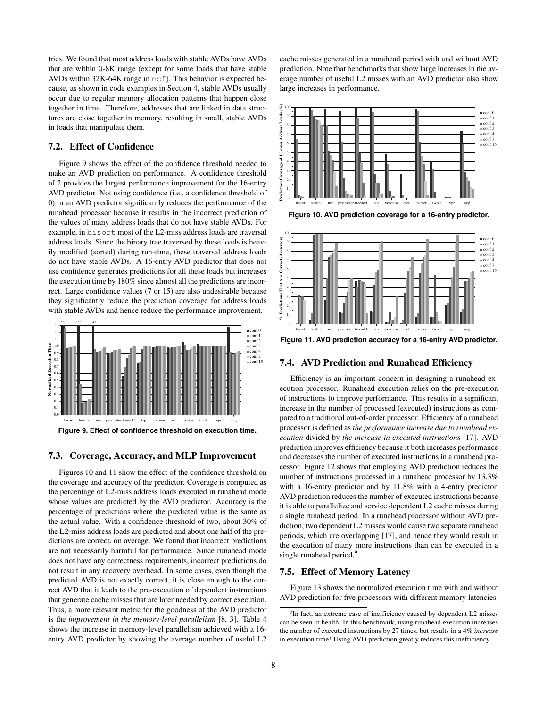tries. We found that most address loads with stable AVDs have AVDs that are within 0-8K range (except for some loads that have stable AVDs within 32K-64K range in mcf). This behavior is expected because, as shown in code examples in Section 4, stable AVDs usually occur due to regular memory allocation patterns that happen close together in time. Therefore, addresses that are linked in data structures are close together in memory, resulting in small, stable AVDs in loads that manipulate them.

### **7.2. Effect of Confidence**

Figure 9 shows the effect of the confidence threshold needed to make an AVD prediction on performance. A confidence threshold of 2 provides the largest performance improvement for the 16-entry AVD predictor. Not using confidence (i.e., a confidence threshold of 0) in an AVD predictor significantly reduces the performance of the runahead processor because it results in the incorrect prediction of the values of many address loads that do not have stable AVDs. For example, in bisort most of the L2-miss address loads are traversal address loads. Since the binary tree traversed by these loads is heavily modified (sorted) during run-time, these traversal address loads do not have stable AVDs. A 16-entry AVD predictor that does not use confidence generates predictions for all these loads but increases the execution time by 180% since almost all the predictions are incorrect. Large confidence values (7 or 15) are also undesirable because they significantly reduce the prediction coverage for address loads with stable AVDs and hence reduce the performance improvement.



**Figure 9. Effect of confidence threshold on execution time.**

#### **7.3. Coverage, Accuracy, and MLP Improvement**

Figures 10 and 11 show the effect of the confidence threshold on the coverage and accuracy of the predictor. Coverage is computed as the percentage of L2-miss address loads executed in runahead mode whose values are predicted by the AVD predictor. Accuracy is the percentage of predictions where the predicted value is the same as the actual value. With a confidence threshold of two, about 30% of the L2-miss address loads are predicted and about one half of the predictions are correct, on average. We found that incorrect predictions are not necessarily harmful for performance. Since runahead mode does not have any correctness requirements, incorrect predictions do not result in any recovery overhead. In some cases, even though the predicted AVD is not exactly correct, it is close enough to the correct AVD that it leads to the pre-execution of dependent instructions that generate cache misses that are later needed by correct execution. Thus, a more relevant metric for the goodness of the AVD predictor is the *improvement in the memory-level parallelism* [8, 3]. Table 4 shows the increase in memory-level parallelism achieved with a 16 entry AVD predictor by showing the average number of useful L2 cache misses generated in a runahead period with and without AVD prediction. Note that benchmarks that show large increases in the average number of useful L2 misses with an AVD predictor also show large increases in performance.



**Figure 10. AVD prediction coverage for a 16-entry predictor.**



**Figure 11. AVD prediction accuracy for a 16-entry AVD predictor.**

### **7.4. AVD Prediction and Runahead Efficiency**

Efficiency is an important concern in designing a runahead execution processor. Runahead execution relies on the pre-execution of instructions to improve performance. This results in a significant increase in the number of processed (executed) instructions as compared to a traditional out-of-order processor. Efficiency of a runahead processor is defined as *the performance increase due to runahead execution* divided by *the increase in executed instructions* [17]. AVD prediction improves efficiency because it both increases performance and decreases the number of executed instructions in a runahead processor. Figure 12 shows that employing AVD prediction reduces the number of instructions processed in a runahead processor by 13.3% with a 16-entry predictor and by 11.8% with a 4-entry predictor. AVD prediction reduces the number of executed instructions because it is able to parallelize and service dependent L2 cache misses during a single runahead period. In a runahead processor without AVD prediction, two dependent L2 misses would cause two separate runahead periods, which are overlapping [17], and hence they would result in the execution of many more instructions than can be executed in a single runahead period.<sup>9</sup>

### **7.5. Effect of Memory Latency**

Figure 13 shows the normalized execution time with and without AVD prediction for five processors with different memory latencies.

<sup>&</sup>lt;sup>9</sup>In fact, an extreme case of inefficiency caused by dependent L2 misses can be seen in health. In this benchmark, using runahead execution increases the number of executed instructions by 27 times, but results in a 4% *increase* in execution time! Using AVD prediction greatly reduces this inefficiency.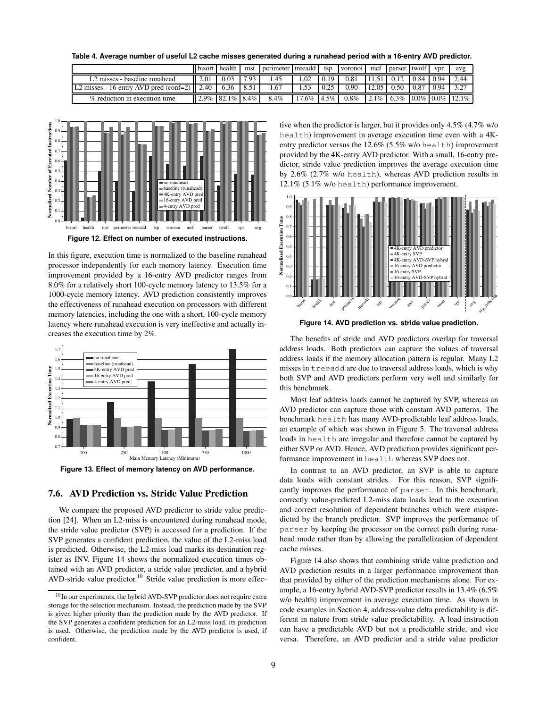Table 4. Average number of useful L2 cache misses generated during a runahead period with a 16-entry AVD predictor.

|                                                                                                       |                                | bisort   health   mst   perimeter   treeadd   tsp   voronoi   mcf   parser   twolf   vpr |      |      |                                                         |  |  | avg |
|-------------------------------------------------------------------------------------------------------|--------------------------------|------------------------------------------------------------------------------------------|------|------|---------------------------------------------------------|--|--|-----|
| L <sub>2</sub> misses - baseline runahead                                                             | $\parallel$ 2.01   0.03   7.93 | 1.45                                                                                     | 1.02 | 0.19 | $0.81$   11.51   0.12   0.84   0.94   2.44              |  |  |     |
| L2 misses - 16-entry AVD pred (conf=2) $\parallel$ 2.40 $\parallel$ 6.36 $\parallel$ 8.51 $\parallel$ |                                | 1.67                                                                                     | 1.53 | 0.25 | $0.90$   12.05   0.50   0.87   0.94   3.27              |  |  |     |
| % reduction in execution time                                                                         | $\parallel$ 2.9% 82.1% 8.4%    | 8.4%                                                                                     |      |      | 17.6%   4.5%   0.8%   2.1%   6.3%   0.0%   0.0%   12.1% |  |  |     |



In this figure, execution time is normalized to the baseline runahead processor independently for each memory latency. Execution time improvement provided by a 16-entry AVD predictor ranges from 8.0% for a relatively short 100-cycle memory latency to 13.5% for a 1000-cycle memory latency. AVD prediction consistently improves the effectiveness of runahead execution on processors with different memory latencies, including the one with a short, 100-cycle memory latency where runahead execution is very ineffective and actually increases the execution time by 2%.



**Figure 13. Effect of memory latency on AVD performance.**

### **7.6. AVD Prediction vs. Stride Value Prediction**

We compare the proposed AVD predictor to stride value prediction [24]. When an L2-miss is encountered during runahead mode, the stride value predictor (SVP) is accessed for a prediction. If the SVP generates a confident prediction, the value of the L2-miss load is predicted. Otherwise, the L2-miss load marks its destination register as INV. Figure 14 shows the normalized execution times obtained with an AVD predictor, a stride value predictor, and a hybrid AVD-stride value predictor.<sup>10</sup> Stride value prediction is more effective when the predictor is larger, but it provides only 4.5% (4.7% w/o health) improvement in average execution time even with a 4Kentry predictor versus the 12.6% (5.5% w/o health) improvement provided by the 4K-entry AVD predictor. With a small, 16-entry predictor, stride value prediction improves the average execution time by 2.6% (2.7% w/o health), whereas AVD prediction results in 12.1% (5.1% w/o health) performance improvement.



**Figure 14. AVD prediction vs. stride value prediction.**

The benefits of stride and AVD predictors overlap for traversal address loads. Both predictors can capture the values of traversal address loads if the memory allocation pattern is regular. Many L2 misses in treeadd are due to traversal address loads, which is why both SVP and AVD predictors perform very well and similarly for this benchmark.

Most leaf address loads cannot be captured by SVP, whereas an AVD predictor can capture those with constant AVD patterns. The benchmark health has many AVD-predictable leaf address loads, an example of which was shown in Figure 5. The traversal address loads in health are irregular and therefore cannot be captured by either SVP or AVD. Hence, AVD prediction provides significant performance improvement in health whereas SVP does not.

In contrast to an AVD predictor, an SVP is able to capture data loads with constant strides. For this reason, SVP significantly improves the performance of parser. In this benchmark, correctly value-predicted L2-miss data loads lead to the execution and correct resolution of dependent branches which were mispredicted by the branch predictor. SVP improves the performance of parser by keeping the processor on the correct path during runahead mode rather than by allowing the parallelization of dependent cache misses.

Figure 14 also shows that combining stride value prediction and AVD prediction results in a larger performance improvement than that provided by either of the prediction mechanisms alone. For example, a 16-entry hybrid AVD-SVP predictor results in 13.4% (6.5% w/o health) improvement in average execution time. As shown in code examples in Section 4, address-value delta predictability is different in nature from stride value predictability. A load instruction can have a predictable AVD but not a predictable stride, and vice versa. Therefore, an AVD predictor and a stride value predictor

<sup>&</sup>lt;sup>10</sup>In our experiments, the hybrid AVD-SVP predictor does not require extra storage for the selection mechanism. Instead, the prediction made by the SVP is given higher priority than the prediction made by the AVD predictor. If the SVP generates a confident prediction for an L2-miss load, its prediction is used. Otherwise, the prediction made by the AVD predictor is used, if confident.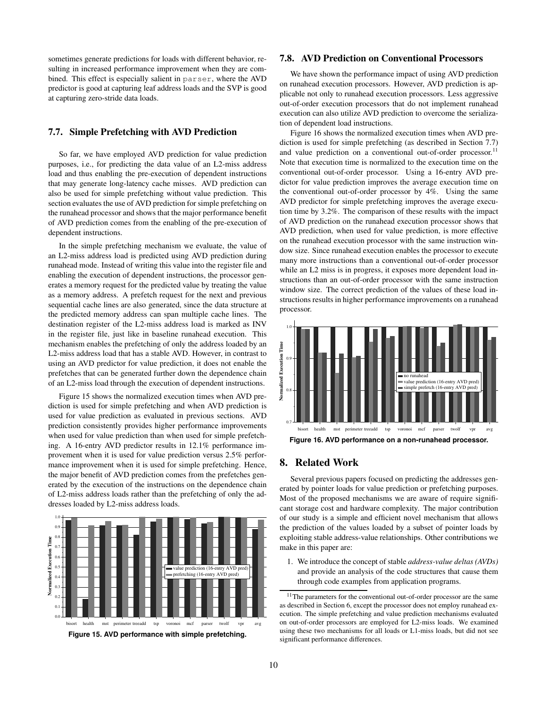sometimes generate predictions for loads with different behavior, resulting in increased performance improvement when they are combined. This effect is especially salient in parser, where the AVD predictor is good at capturing leaf address loads and the SVP is good at capturing zero-stride data loads.

### **7.7. Simple Prefetching with AVD Prediction**

So far, we have employed AVD prediction for value prediction purposes, i.e., for predicting the data value of an L2-miss address load and thus enabling the pre-execution of dependent instructions that may generate long-latency cache misses. AVD prediction can also be used for simple prefetching without value prediction. This section evaluates the use of AVD prediction for simple prefetching on the runahead processor and shows that the major performance benefit of AVD prediction comes from the enabling of the pre-execution of dependent instructions.

In the simple prefetching mechanism we evaluate, the value of an L2-miss address load is predicted using AVD prediction during runahead mode. Instead of writing this value into the register file and enabling the execution of dependent instructions, the processor generates a memory request for the predicted value by treating the value as a memory address. A prefetch request for the next and previous sequential cache lines are also generated, since the data structure at the predicted memory address can span multiple cache lines. The destination register of the L2-miss address load is marked as INV in the register file, just like in baseline runahead execution. This mechanism enables the prefetching of only the address loaded by an L2-miss address load that has a stable AVD. However, in contrast to using an AVD predictor for value prediction, it does not enable the prefetches that can be generated further down the dependence chain of an L2-miss load through the execution of dependent instructions.

Figure 15 shows the normalized execution times when AVD prediction is used for simple prefetching and when AVD prediction is used for value prediction as evaluated in previous sections. AVD prediction consistently provides higher performance improvements when used for value prediction than when used for simple prefetching. A 16-entry AVD predictor results in 12.1% performance improvement when it is used for value prediction versus 2.5% performance improvement when it is used for simple prefetching. Hence, the major benefit of AVD prediction comes from the prefetches generated by the execution of the instructions on the dependence chain of L2-miss address loads rather than the prefetching of only the addresses loaded by L2-miss address loads.



#### **7.8. AVD Prediction on Conventional Processors**

We have shown the performance impact of using AVD prediction on runahead execution processors. However, AVD prediction is applicable not only to runahead execution processors. Less aggressive out-of-order execution processors that do not implement runahead execution can also utilize AVD prediction to overcome the serialization of dependent load instructions.

Figure 16 shows the normalized execution times when AVD prediction is used for simple prefetching (as described in Section 7.7) and value prediction on a conventional out-of-order processor.<sup>11</sup> Note that execution time is normalized to the execution time on the conventional out-of-order processor. Using a 16-entry AVD predictor for value prediction improves the average execution time on the conventional out-of-order processor by 4%. Using the same AVD predictor for simple prefetching improves the average execution time by 3.2%. The comparison of these results with the impact of AVD prediction on the runahead execution processor shows that AVD prediction, when used for value prediction, is more effective on the runahead execution processor with the same instruction window size. Since runahead execution enables the processor to execute many more instructions than a conventional out-of-order processor while an L2 miss is in progress, it exposes more dependent load instructions than an out-of-order processor with the same instruction window size. The correct prediction of the values of these load instructions results in higher performance improvements on a runahead processor.





### **8. Related Work**

Several previous papers focused on predicting the addresses generated by pointer loads for value prediction or prefetching purposes. Most of the proposed mechanisms we are aware of require significant storage cost and hardware complexity. The major contribution of our study is a simple and efficient novel mechanism that allows the prediction of the values loaded by a subset of pointer loads by exploiting stable address-value relationships. Other contributions we make in this paper are:

1. We introduce the concept of stable *address-value deltas (AVDs)* and provide an analysis of the code structures that cause them through code examples from application programs.

<sup>&</sup>lt;sup>11</sup>The parameters for the conventional out-of-order processor are the same as described in Section 6, except the processor does not employ runahead execution. The simple prefetching and value prediction mechanisms evaluated on out-of-order processors are employed for L2-miss loads. We examined using these two mechanisms for all loads or L1-miss loads, but did not see significant performance differences.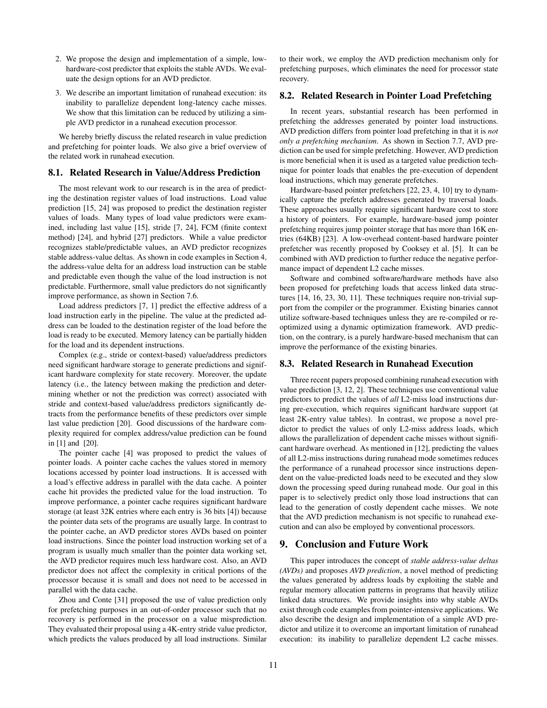- 2. We propose the design and implementation of a simple, lowhardware-cost predictor that exploits the stable AVDs. We evaluate the design options for an AVD predictor.
- 3. We describe an important limitation of runahead execution: its inability to parallelize dependent long-latency cache misses. We show that this limitation can be reduced by utilizing a simple AVD predictor in a runahead execution processor.

We hereby briefly discuss the related research in value prediction and prefetching for pointer loads. We also give a brief overview of the related work in runahead execution.

### **8.1. Related Research in Value/Address Prediction**

The most relevant work to our research is in the area of predicting the destination register values of load instructions. Load value prediction [15, 24] was proposed to predict the destination register values of loads. Many types of load value predictors were examined, including last value [15], stride [7, 24], FCM (finite context method) [24], and hybrid [27] predictors. While a value predictor recognizes stable/predictable values, an AVD predictor recognizes stable address-value deltas. As shown in code examples in Section 4, the address-value delta for an address load instruction can be stable and predictable even though the value of the load instruction is not predictable. Furthermore, small value predictors do not significantly improve performance, as shown in Section 7.6.

Load address predictors [7, 1] predict the effective address of a load instruction early in the pipeline. The value at the predicted address can be loaded to the destination register of the load before the load is ready to be executed. Memory latency can be partially hidden for the load and its dependent instructions.

Complex (e.g., stride or context-based) value/address predictors need significant hardware storage to generate predictions and significant hardware complexity for state recovery. Moreover, the update latency (i.e., the latency between making the prediction and determining whether or not the prediction was correct) associated with stride and context-based value/address predictors significantly detracts from the performance benefits of these predictors over simple last value prediction [20]. Good discussions of the hardware complexity required for complex address/value prediction can be found in [1] and [20].

The pointer cache [4] was proposed to predict the values of pointer loads. A pointer cache caches the values stored in memory locations accessed by pointer load instructions. It is accessed with a load's effective address in parallel with the data cache. A pointer cache hit provides the predicted value for the load instruction. To improve performance, a pointer cache requires significant hardware storage (at least 32K entries where each entry is 36 bits [4]) because the pointer data sets of the programs are usually large. In contrast to the pointer cache, an AVD predictor stores AVDs based on pointer load instructions. Since the pointer load instruction working set of a program is usually much smaller than the pointer data working set, the AVD predictor requires much less hardware cost. Also, an AVD predictor does not affect the complexity in critical portions of the processor because it is small and does not need to be accessed in parallel with the data cache.

Zhou and Conte [31] proposed the use of value prediction only for prefetching purposes in an out-of-order processor such that no recovery is performed in the processor on a value misprediction. They evaluated their proposal using a 4K-entry stride value predictor, which predicts the values produced by all load instructions. Similar

to their work, we employ the AVD prediction mechanism only for prefetching purposes, which eliminates the need for processor state recovery.

#### **8.2. Related Research in Pointer Load Prefetching**

In recent years, substantial research has been performed in prefetching the addresses generated by pointer load instructions. AVD prediction differs from pointer load prefetching in that it is *not only a prefetching mechanism*. As shown in Section 7.7, AVD prediction can be used for simple prefetching. However, AVD prediction is more beneficial when it is used as a targeted value prediction technique for pointer loads that enables the pre-execution of dependent load instructions, which may generate prefetches.

Hardware-based pointer prefetchers [22, 23, 4, 10] try to dynamically capture the prefetch addresses generated by traversal loads. These approaches usually require significant hardware cost to store a history of pointers. For example, hardware-based jump pointer prefetching requires jump pointer storage that has more than 16K entries (64KB) [23]. A low-overhead content-based hardware pointer prefetcher was recently proposed by Cooksey et al. [5]. It can be combined with AVD prediction to further reduce the negative performance impact of dependent L2 cache misses.

Software and combined software/hardware methods have also been proposed for prefetching loads that access linked data structures [14, 16, 23, 30, 11]. These techniques require non-trivial support from the compiler or the programmer. Existing binaries cannot utilize software-based techniques unless they are re-compiled or reoptimized using a dynamic optimization framework. AVD prediction, on the contrary, is a purely hardware-based mechanism that can improve the performance of the existing binaries.

### **8.3. Related Research in Runahead Execution**

Three recent papers proposed combining runahead execution with value prediction [3, 12, 2]. These techniques use conventional value predictors to predict the values of *all* L2-miss load instructions during pre-execution, which requires significant hardware support (at least 2K-entry value tables). In contrast, we propose a novel predictor to predict the values of only L2-miss address loads, which allows the parallelization of dependent cache misses without significant hardware overhead. As mentioned in [12], predicting the values of all L2-miss instructions during runahead mode sometimes reduces the performance of a runahead processor since instructions dependent on the value-predicted loads need to be executed and they slow down the processing speed during runahead mode. Our goal in this paper is to selectively predict only those load instructions that can lead to the generation of costly dependent cache misses. We note that the AVD prediction mechanism is not specific to runahead execution and can also be employed by conventional processors.

#### **9. Conclusion and Future Work**

This paper introduces the concept of *stable address-value deltas (AVDs)* and proposes *AVD prediction*, a novel method of predicting the values generated by address loads by exploiting the stable and regular memory allocation patterns in programs that heavily utilize linked data structures. We provide insights into why stable AVDs exist through code examples from pointer-intensive applications. We also describe the design and implementation of a simple AVD predictor and utilize it to overcome an important limitation of runahead execution: its inability to parallelize dependent L2 cache misses.